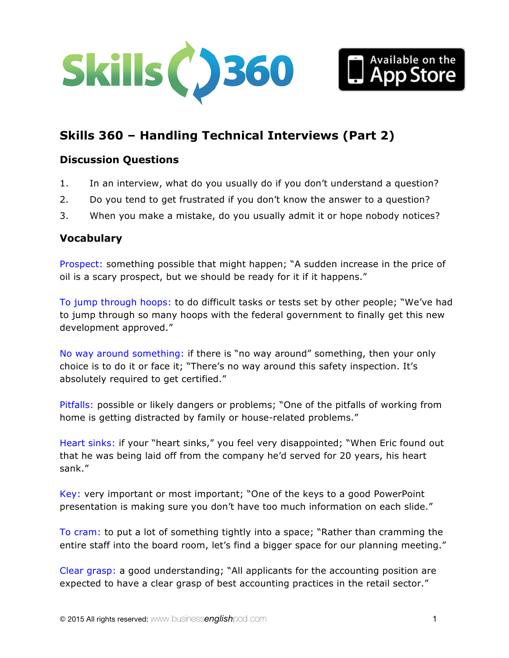



# **Skills 360 – Handling Technical Interviews (Part 2)**

### **Discussion Questions**

- 1. In an interview, what do you usually do if you don't understand a question?
- 2. Do you tend to get frustrated if you don't know the answer to a question?
- 3. When you make a mistake, do you usually admit it or hope nobody notices?

### **Vocabulary**

Prospect: something possible that might happen; "A sudden increase in the price of oil is a scary prospect, but we should be ready for it if it happens."

To jump through hoops: to do difficult tasks or tests set by other people; "We've had to jump through so many hoops with the federal government to finally get this new development approved."

No way around something: if there is "no way around" something, then your only choice is to do it or face it; "There's no way around this safety inspection. It's absolutely required to get certified."

Pitfalls: possible or likely dangers or problems; "One of the pitfalls of working from home is getting distracted by family or house-related problems."

Heart sinks: if your "heart sinks," you feel very disappointed; "When Eric found out that he was being laid off from the company he'd served for 20 years, his heart sank."

Key: very important or most important; "One of the keys to a good PowerPoint presentation is making sure you don't have too much information on each slide."

To cram: to put a lot of something tightly into a space; "Rather than cramming the entire staff into the board room, let's find a bigger space for our planning meeting."

Clear grasp: a good understanding; "All applicants for the accounting position are expected to have a clear grasp of best accounting practices in the retail sector."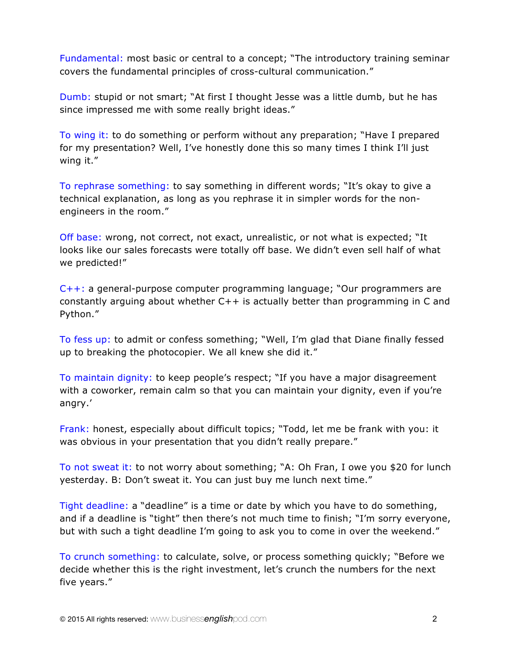Fundamental: most basic or central to a concept; "The introductory training seminar covers the fundamental principles of cross-cultural communication."

Dumb: stupid or not smart; "At first I thought Jesse was a little dumb, but he has since impressed me with some really bright ideas."

To wing it: to do something or perform without any preparation; "Have I prepared for my presentation? Well, I've honestly done this so many times I think I'll just wing it."

To rephrase something: to say something in different words; "It's okay to give a technical explanation, as long as you rephrase it in simpler words for the nonengineers in the room."

Off base: wrong, not correct, not exact, unrealistic, or not what is expected; "It looks like our sales forecasts were totally off base. We didn't even sell half of what we predicted!"

C++: a general-purpose computer programming language; "Our programmers are constantly arguing about whether C++ is actually better than programming in C and Python."

To fess up: to admit or confess something; "Well, I'm glad that Diane finally fessed up to breaking the photocopier. We all knew she did it."

To maintain dignity: to keep people's respect; "If you have a major disagreement with a coworker, remain calm so that you can maintain your dignity, even if you're angry.'

Frank: honest, especially about difficult topics; "Todd, let me be frank with you: it was obvious in your presentation that you didn't really prepare."

To not sweat it: to not worry about something; "A: Oh Fran, I owe you \$20 for lunch yesterday. B: Don't sweat it. You can just buy me lunch next time."

Tight deadline: a "deadline" is a time or date by which you have to do something, and if a deadline is "tight" then there's not much time to finish; "I'm sorry everyone, but with such a tight deadline I'm going to ask you to come in over the weekend."

To crunch something: to calculate, solve, or process something quickly; "Before we decide whether this is the right investment, let's crunch the numbers for the next five years."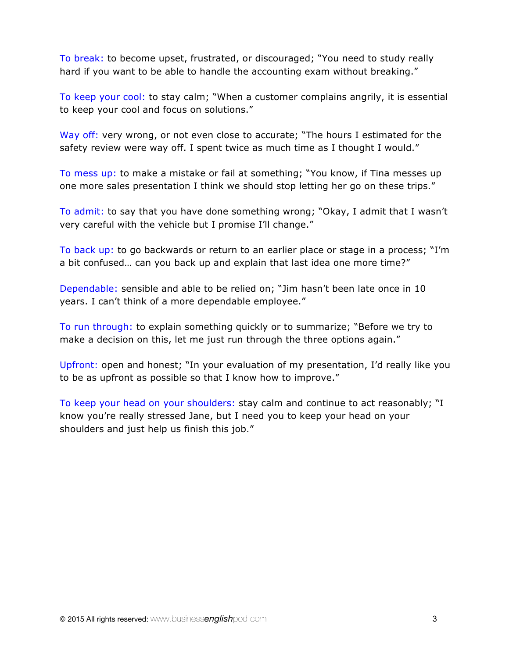To break: to become upset, frustrated, or discouraged; "You need to study really hard if you want to be able to handle the accounting exam without breaking."

To keep your cool: to stay calm; "When a customer complains angrily, it is essential to keep your cool and focus on solutions."

Way off: very wrong, or not even close to accurate; "The hours I estimated for the safety review were way off. I spent twice as much time as I thought I would."

To mess up: to make a mistake or fail at something; "You know, if Tina messes up one more sales presentation I think we should stop letting her go on these trips."

To admit: to say that you have done something wrong; "Okay, I admit that I wasn't very careful with the vehicle but I promise I'll change."

To back up: to go backwards or return to an earlier place or stage in a process; "I'm a bit confused… can you back up and explain that last idea one more time?"

Dependable: sensible and able to be relied on; "Jim hasn't been late once in 10 years. I can't think of a more dependable employee."

To run through: to explain something quickly or to summarize; "Before we try to make a decision on this, let me just run through the three options again."

Upfront: open and honest; "In your evaluation of my presentation, I'd really like you to be as upfront as possible so that I know how to improve."

To keep your head on your shoulders: stay calm and continue to act reasonably; "I know you're really stressed Jane, but I need you to keep your head on your shoulders and just help us finish this job."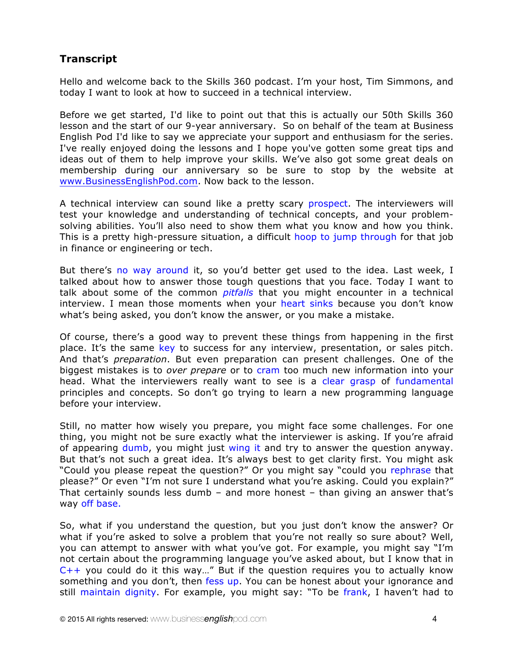# **Transcript**

Hello and welcome back to the Skills 360 podcast. I'm your host, Tim Simmons, and today I want to look at how to succeed in a technical interview.

Before we get started, I'd like to point out that this is actually our 50th Skills 360 lesson and the start of our 9-year anniversary. So on behalf of the team at Business English Pod I'd like to say we appreciate your support and enthusiasm for the series. I've really enjoyed doing the lessons and I hope you've gotten some great tips and ideas out of them to help improve your skills. We've also got some great deals on membership during our anniversary so be sure to stop by the website at www.BusinessEnglishPod.com. Now back to the lesson.

A technical interview can sound like a pretty scary prospect. The interviewers will test your knowledge and understanding of technical concepts, and your problemsolving abilities. You'll also need to show them what you know and how you think. This is a pretty high-pressure situation, a difficult hoop to jump through for that job in finance or engineering or tech.

But there's no way around it, so you'd better get used to the idea. Last week, I talked about how to answer those tough questions that you face. Today I want to talk about some of the common *pitfalls* that you might encounter in a technical interview. I mean those moments when your heart sinks because you don't know what's being asked, you don't know the answer, or you make a mistake.

Of course, there's a good way to prevent these things from happening in the first place. It's the same key to success for any interview, presentation, or sales pitch. And that's *preparation*. But even preparation can present challenges. One of the biggest mistakes is to *over prepare* or to cram too much new information into your head. What the interviewers really want to see is a clear grasp of fundamental principles and concepts. So don't go trying to learn a new programming language before your interview.

Still, no matter how wisely you prepare, you might face some challenges. For one thing, you might not be sure exactly what the interviewer is asking. If you're afraid of appearing dumb, you might just wing it and try to answer the question anyway. But that's not such a great idea. It's always best to get clarity first. You might ask "Could you please repeat the question?" Or you might say "could you rephrase that please?" Or even "I'm not sure I understand what you're asking. Could you explain?" That certainly sounds less dumb – and more honest – than giving an answer that's way off base.

So, what if you understand the question, but you just don't know the answer? Or what if you're asked to solve a problem that you're not really so sure about? Well, you can attempt to answer with what you've got. For example, you might say "I'm not certain about the programming language you've asked about, but I know that in  $C++$  you could do it this way..." But if the question requires you to actually know something and you don't, then fess up. You can be honest about your ignorance and still maintain dignity. For example, you might say: "To be frank, I haven't had to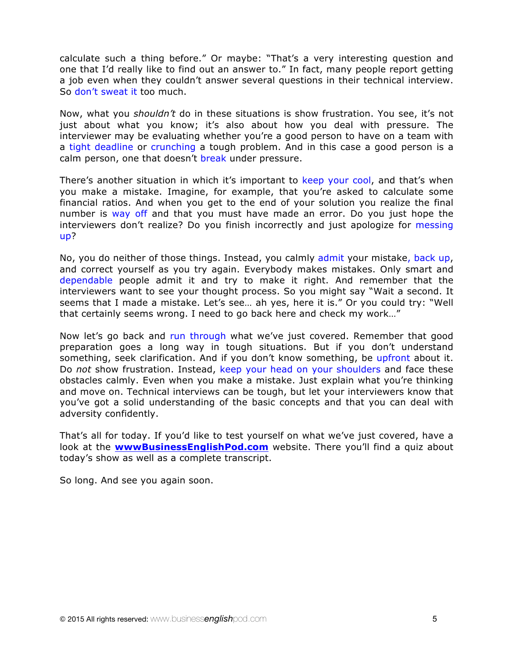calculate such a thing before." Or maybe: "That's a very interesting question and one that I'd really like to find out an answer to." In fact, many people report getting a job even when they couldn't answer several questions in their technical interview. So don't sweat it too much.

Now, what you *shouldn't* do in these situations is show frustration. You see, it's not just about what you know; it's also about how you deal with pressure. The interviewer may be evaluating whether you're a good person to have on a team with a tight deadline or crunching a tough problem. And in this case a good person is a calm person, one that doesn't break under pressure.

There's another situation in which it's important to keep your cool, and that's when you make a mistake. Imagine, for example, that you're asked to calculate some financial ratios. And when you get to the end of your solution you realize the final number is way off and that you must have made an error. Do you just hope the interviewers don't realize? Do you finish incorrectly and just apologize for messing up?

No, you do neither of those things. Instead, you calmly admit your mistake, back up, and correct yourself as you try again. Everybody makes mistakes. Only smart and dependable people admit it and try to make it right. And remember that the interviewers want to see your thought process. So you might say "Wait a second. It seems that I made a mistake. Let's see… ah yes, here it is." Or you could try: "Well that certainly seems wrong. I need to go back here and check my work…"

Now let's go back and run through what we've just covered. Remember that good preparation goes a long way in tough situations. But if you don't understand something, seek clarification. And if you don't know something, be upfront about it. Do *not* show frustration. Instead, keep your head on your shoulders and face these obstacles calmly. Even when you make a mistake. Just explain what you're thinking and move on. Technical interviews can be tough, but let your interviewers know that you've got a solid understanding of the basic concepts and that you can deal with adversity confidently.

That's all for today. If you'd like to test yourself on what we've just covered, have a look at the **wwwBusinessEnglishPod.com** website. There you'll find a quiz about today's show as well as a complete transcript.

So long. And see you again soon.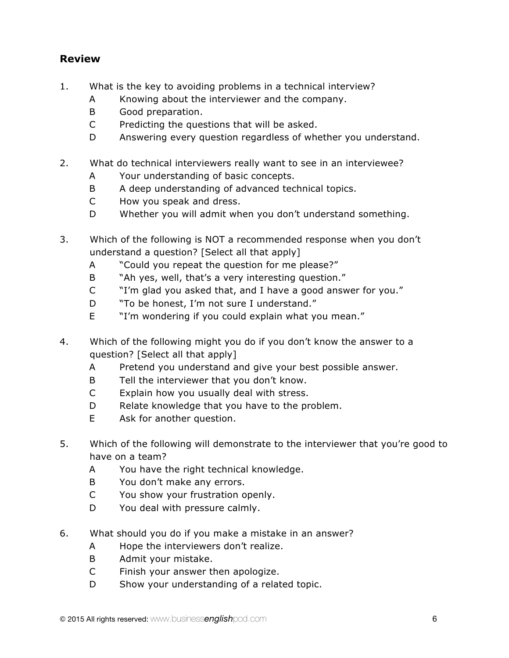# **Review**

- 1. What is the key to avoiding problems in a technical interview?
	- A Knowing about the interviewer and the company.
	- B Good preparation.
	- C Predicting the questions that will be asked.
	- D Answering every question regardless of whether you understand.
- 2. What do technical interviewers really want to see in an interviewee?
	- A Your understanding of basic concepts.
	- B A deep understanding of advanced technical topics.
	- C How you speak and dress.
	- D Whether you will admit when you don't understand something.
- 3. Which of the following is NOT a recommended response when you don't understand a question? [Select all that apply]
	- A "Could you repeat the question for me please?"
	- B "Ah yes, well, that's a very interesting question."
	- C "I'm glad you asked that, and I have a good answer for you."
	- D "To be honest, I'm not sure I understand."
	- E "I'm wondering if you could explain what you mean."
- 4. Which of the following might you do if you don't know the answer to a question? [Select all that apply]
	- A Pretend you understand and give your best possible answer.
	- B Tell the interviewer that you don't know.
	- C Explain how you usually deal with stress.
	- D Relate knowledge that you have to the problem.
	- E Ask for another question.
- 5. Which of the following will demonstrate to the interviewer that you're good to have on a team?
	- A You have the right technical knowledge.
	- B You don't make any errors.
	- C You show your frustration openly.
	- D You deal with pressure calmly.
- 6. What should you do if you make a mistake in an answer?
	- A Hope the interviewers don't realize.
	- B Admit your mistake.
	- C Finish your answer then apologize.
	- D Show your understanding of a related topic.